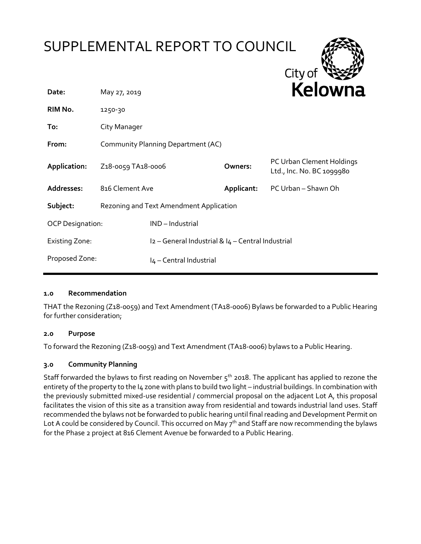# SUPPLEMENTAL REPORT TO COUNCIL



| Date:                   | May 27, 2019                                 |                                                   |            | <b>NEIUWII</b> d                                       |
|-------------------------|----------------------------------------------|---------------------------------------------------|------------|--------------------------------------------------------|
| RIM No.                 | 1250-30                                      |                                                   |            |                                                        |
| To:                     | City Manager                                 |                                                   |            |                                                        |
| From:                   | Community Planning Department (AC)           |                                                   |            |                                                        |
| Application:            | Z <sub>1</sub> 8-0059 TA <sub>18</sub> -0006 |                                                   | Owners:    | PC Urban Clement Holdings<br>Ltd., Inc. No. BC 1099980 |
| Addresses:              | 816 Clement Ave                              |                                                   | Applicant: | PC Urban - Shawn Oh                                    |
| Subject:                | Rezoning and Text Amendment Application      |                                                   |            |                                                        |
| <b>OCP Designation:</b> |                                              | IND-Industrial                                    |            |                                                        |
| <b>Existing Zone:</b>   |                                              | I2 - General Industrial & I4 - Central Industrial |            |                                                        |
| Proposed Zone:          |                                              | I4 - Central Industrial                           |            |                                                        |

### **1.0 Recommendation**

THAT the Rezoning (Z18-0059) and Text Amendment (TA18-0006) Bylaws be forwarded to a Public Hearing for further consideration;

### **2.0 Purpose**

To forward the Rezoning (Z18-0059) and Text Amendment (TA18-0006) bylaws to a Public Hearing.

### **3.0 Community Planning**

Staff forwarded the bylaws to first reading on November  $5<sup>th</sup>$  2018. The applicant has applied to rezone the entirety of the property to the I4 zone with plans to build two light - industrial buildings. In combination with the previously submitted mixed-use residential / commercial proposal on the adjacent Lot A, this proposal facilitates the vision of this site as a transition away from residential and towards industrial land uses. Staff recommended the bylaws not be forwarded to public hearing until final reading and Development Permit on Lot A could be considered by Council. This occurred on May  $7<sup>th</sup>$  and Staff are now recommending the bylaws for the Phase 2 project at 816 Clement Avenue be forwarded to a Public Hearing.